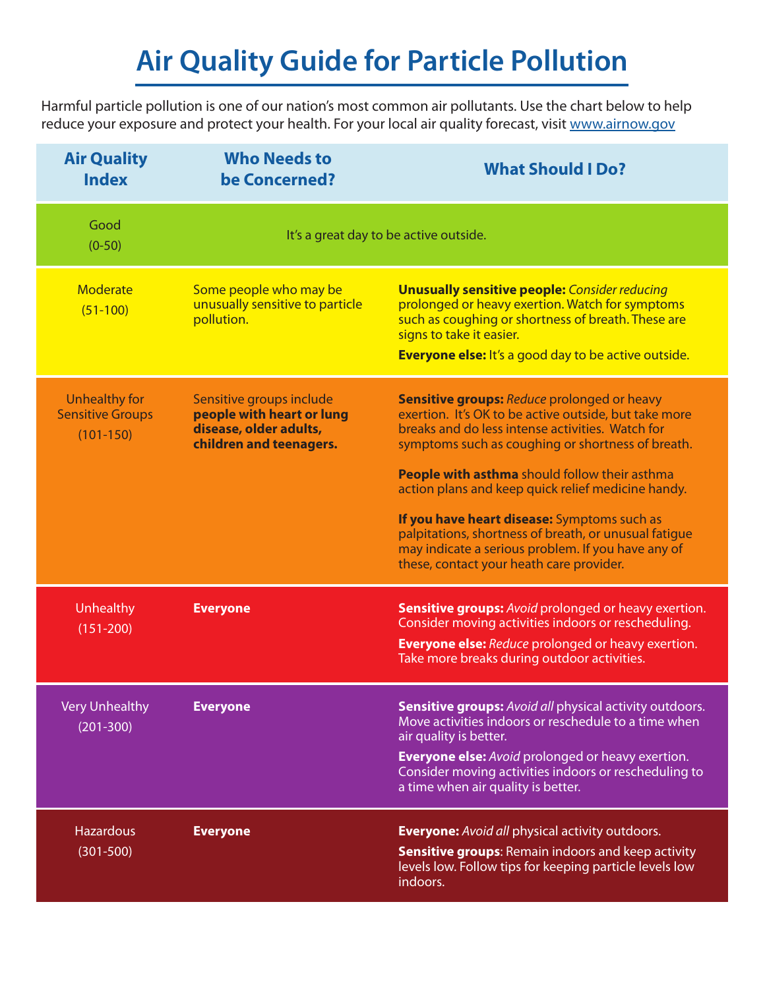# **Air Quality Guide for Particle Pollution**

Harmful particle pollution is one of our nation's most common air pollutants. Use the chart below to help reduce your exposure and protect your health. For your local air quality forecast, visit [www.airnow.gov](http://www.airnow.gov)

| <b>Air Quality</b><br><b>Index</b>                             | <b>Who Needs to</b><br>be Concerned?                                                                       | <b>What Should I Do?</b>                                                                                                                                                                                                                                 |
|----------------------------------------------------------------|------------------------------------------------------------------------------------------------------------|----------------------------------------------------------------------------------------------------------------------------------------------------------------------------------------------------------------------------------------------------------|
| Good<br>$(0-50)$                                               | It's a great day to be active outside.                                                                     |                                                                                                                                                                                                                                                          |
| Moderate<br>$(51-100)$                                         | Some people who may be<br>unusually sensitive to particle<br>pollution.                                    | <b>Unusually sensitive people:</b> Consider reducing<br>prolonged or heavy exertion. Watch for symptoms<br>such as coughing or shortness of breath. These are<br>signs to take it easier.<br><b>Everyone else:</b> It's a good day to be active outside. |
| <b>Unhealthy for</b><br><b>Sensitive Groups</b><br>$(101-150)$ | Sensitive groups include<br>people with heart or lung<br>disease, older adults,<br>children and teenagers. | <b>Sensitive groups:</b> Reduce prolonged or heavy<br>exertion. It's OK to be active outside, but take more<br>breaks and do less intense activities. Watch for<br>symptoms such as coughing or shortness of breath.                                     |
|                                                                |                                                                                                            | People with asthma should follow their asthma<br>action plans and keep quick relief medicine handy.                                                                                                                                                      |
|                                                                |                                                                                                            | If you have heart disease: Symptoms such as<br>palpitations, shortness of breath, or unusual fatigue<br>may indicate a serious problem. If you have any of<br>these, contact your heath care provider.                                                   |
| Unhealthy<br>$(151 - 200)$                                     | <b>Everyone</b>                                                                                            | <b>Sensitive groups:</b> Avoid prolonged or heavy exertion.<br>Consider moving activities indoors or rescheduling.                                                                                                                                       |
|                                                                |                                                                                                            | <b>Everyone else:</b> Reduce prolonged or heavy exertion.<br>Take more breaks during outdoor activities.                                                                                                                                                 |
| <b>Very Unhealthy</b><br>$(201 - 300)$                         | <b>Everyone</b>                                                                                            | <b>Sensitive groups:</b> Avoid all physical activity outdoors.<br>Move activities indoors or reschedule to a time when<br>air quality is better.                                                                                                         |
|                                                                |                                                                                                            | <b>Everyone else:</b> Avoid prolonged or heavy exertion.<br>Consider moving activities indoors or rescheduling to<br>a time when air quality is better.                                                                                                  |
| <b>Hazardous</b>                                               | <b>Everyone</b>                                                                                            | <b>Everyone:</b> Avoid all physical activity outdoors.                                                                                                                                                                                                   |
| $(301 - 500)$                                                  |                                                                                                            | <b>Sensitive groups: Remain indoors and keep activity</b><br>levels low. Follow tips for keeping particle levels low<br>indoors.                                                                                                                         |